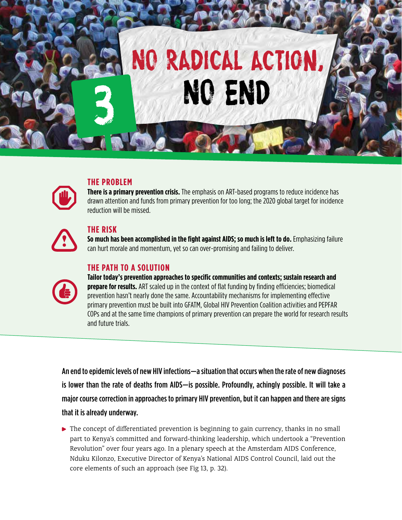

### **THE PROBLEM**

**There is a primary prevention crisis.** The emphasis on ART-based programs to reduce incidence has drawn attention and funds from primary prevention for too long; the 2020 global target for incidence reduction will be missed.

#### **THE RISK**

**So much has been accomplished in the fight against AIDS; so much is left to do.** Emphasizing failure can hurt morale and momentum, yet so can over-promising and failing to deliver.

### **THE PATH TO A SOLUTION**



**Tailor today's prevention approaches to specific communities and contexts; sustain research and prepare for results.** ART scaled up in the context of flat funding by finding efficiencies; biomedical prevention hasn't nearly done the same. Accountability mechanisms for implementing effective primary prevention must be built into GFATM, Global HIV Prevention Coalition activities and PEPFAR COPs and at the same time champions of primary prevention can prepare the world for research results and future trials.

An end to epidemic levels of new HIV infections—a situation that occurs when the rate of new diagnoses is lower than the rate of deaths from AIDS—is possible. Profoundly, achingly possible. It will take a major course correction in approaches to primary HIV prevention, but it can happen and there are signs that it is already underway.

**•** The concept of differentiated prevention is beginning to gain currency, thanks in no small part to Kenya's committed and forward-thinking leadership, which undertook a "Prevention Revolution" over four years ago. In a plenary speech at the Amsterdam AIDS Conference, Nduku Kilonzo, Executive Director of Kenya's National AIDS Control Council, laid out the core elements of such an approach (see Fig 13, p. 32).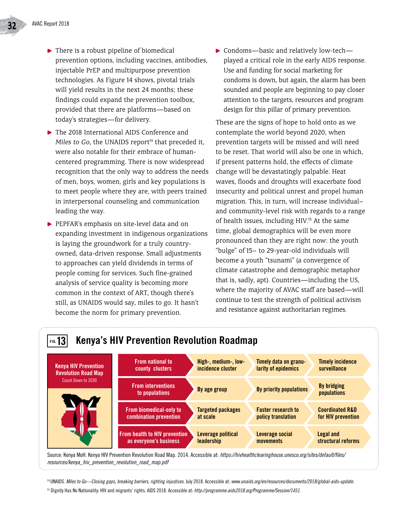- ▶ There is a robust pipeline of biomedical prevention options, including vaccines, antibodies, injectable PrEP and multipurpose prevention technologies. As Figure 14 shows, pivotal trials will yield results in the next 24 months; these findings could expand the prevention toolbox, provided that there are platforms—based on today's strategies—for delivery.
- ▶ The 2018 International AIDS Conference and *Miles to Go*, the UNAIDS report<sup>14</sup> that preceded it, were also notable for their embrace of humancentered programming. There is now widespread recognition that the only way to address the needs of men, boys, women, girls and key populations is to meet people where they are, with peers trained in interpersonal counseling and communication leading the way.
- PEPFAR's emphasis on site-level data and on expanding investment in indigenous organizations is laying the groundwork for a truly countryowned, data-driven response. Small adjustments to approaches can yield dividends in terms of people coming for services. Such fine-grained analysis of service quality is becoming more common in the context of ART, though there's still, as UNAIDS would say, miles to go. It hasn't become the norm for primary prevention.

▶ Condoms—basic and relatively low-tech played a critical role in the early AIDS response. Use and funding for social marketing for condoms is down, but again, the alarm has been sounded and people are beginning to pay closer attention to the targets, resources and program design for this pillar of primary prevention.

These are the signs of hope to hold onto as we contemplate the world beyond 2020, when prevention targets will be missed and will need to be reset. That world will also be one in which, if present patterns hold, the effects of climate change will be devastatingly palpable. Heat waves, floods and droughts will exacerbate food insecurity and political unrest and propel human migration. This, in turn, will increase individual– and community-level risk with regards to a range of health issues, including HIV.<sup>15</sup> At the same time, global demographics will be even more pronounced than they are right now: the youth "bulge" of 15– to 29-year-old individuals will become a youth "tsunami" (a convergence of climate catastrophe and demographic metaphor that is, sadly, apt). Countries—including the US, where the majority of AVAC staff are based—will continue to test the strength of political activism and resistance against authoritarian regimes.



Source: Kenya MoH. Kenya HIV Prevention Revolution Road Map. 2014. Accessible at: *https://hivhealthclearinghouse.unesco.org/sites/default/files/ resources/kenya\_hiv\_prevention\_revolution\_road\_map.pdf*

14 UNAIDS. *Miles to Go—Closing gaps, breaking barriers, righting injustices.* July 2018. Accessible at: *www.unaids.org/en/resources/documents/2018/global-aids-update.*

15 Dignity Has No Nationality: HIV and migrants' rights. AIDS 2018. Accessible at: *http://programme.aids2018.org/Programme/Session/1451.*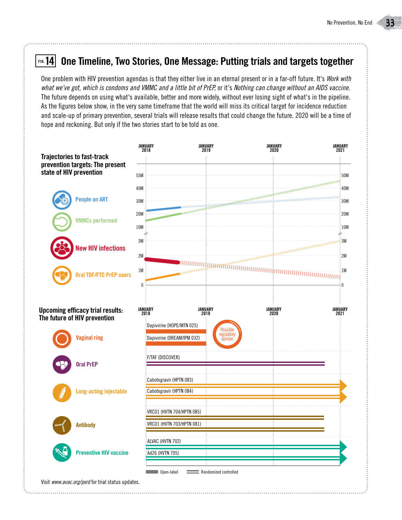#### **One Timeline, Two Stories, One Message: Putting trials and targets together FIG.14**

One problem with HIV prevention agendas is that they either live in an eternal present or in a far-off future. It's *Work with what we've got, which is condoms and VMMC and a little bit of PrEP,* or it's *Nothing can change without an AIDS vaccine.* The future depends on using what's available, better and more widely, without ever losing sight of what's in the pipeline. As the figures below show, in the very same timeframe that the world will miss its critical target for incidence reduction and scale-up of primary prevention, several trials will release results that could change the future. 2020 will be a time of hope and reckoning. But only if the two stories start to be told as one.

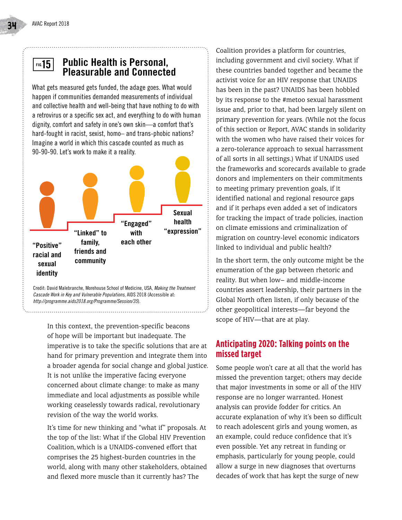#### **Public Health is Personal, Pleasurable and Connected FIG.15**

What gets measured gets funded, the adage goes. What would happen if communities demanded measurements of individual and collective health and well-being that have nothing to do with a retrovirus or a specific sex act, and everything to do with human dignity, comfort and safety in one's own skin—a comfort that's hard-fought in racist, sexist, homo- and trans-phobic nations? Imagine a world in which this cascade counted as much as 90-90-90. Let's work to make it a reality.



Credit: David Malebranche, Morehouse School of Medicine, USA, *Making the Treatment Cascade Work in Key and Vulnerable Populations*, AIDS 2018 (Accessible at: *http://programme.aids2018.org/Programme/Session/35*).

In this context, the prevention-specific beacons of hope will be important but inadequate. The imperative is to take the specific solutions that are at hand for primary prevention and integrate them into a broader agenda for social change and global justice. It is not unlike the imperative facing everyone concerned about climate change: to make as many immediate and local adjustments as possible while working ceaselessly towards radical, revolutionary revision of the way the world works.

It's time for new thinking and "what if" proposals. At the top of the list: What if the Global HIV Prevention Coalition, which is a UNAIDS-convened effort that comprises the 25 highest-burden countries in the world, along with many other stakeholders, obtained and flexed more muscle than it currently has? The

Coalition provides a platform for countries, including government and civil society. What if these countries banded together and became the activist voice for an HIV response that UNAIDS has been in the past? UNAIDS has been hobbled by its response to the #metoo sexual harassment issue and, prior to that, had been largely silent on primary prevention for years. (While not the focus of this section or Report, AVAC stands in solidarity with the women who have raised their voices for a zero-tolerance approach to sexual harrassment of all sorts in all settings.) What if UNAIDS used the frameworks and scorecards available to grade donors and implementers on their commitments to meeting primary prevention goals, if it identified national and regional resource gaps and if it perhaps even added a set of indicators for tracking the impact of trade policies, inaction on climate emissions and criminalization of migration on country-level economic indicators linked to individual and public health?

In the short term, the only outcome might be the enumeration of the gap between rhetoric and reality. But when low– and middle-income countries assert leadership, their partners in the Global North often listen, if only because of the other geopolitical interests—far beyond the scope of HIV—that are at play.

#### **Anticipating 2020: Talking points on the missed target**

Some people won't care at all that the world has missed the prevention target; others may decide that major investments in some or all of the HIV response are no longer warranted. Honest analysis can provide fodder for critics. An accurate explanation of why it's been so difficult to reach adolescent girls and young women, as an example, could reduce confidence that it's even possible. Yet any retreat in funding or emphasis, particularly for young people, could allow a surge in new diagnoses that overturns decades of work that has kept the surge of new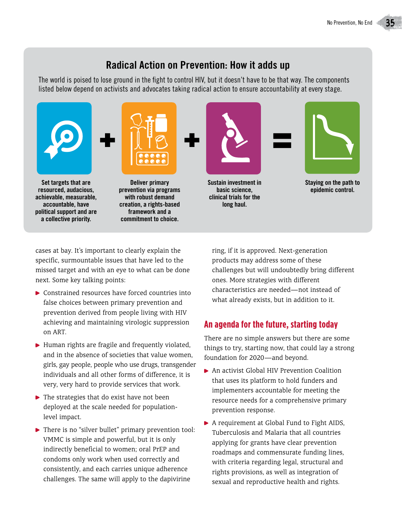## **Radical Action on Prevention: How it adds up**

The world is poised to lose ground in the fight to control HIV, but it doesn't have to be that way. The components listed below depend on activists and advocates taking radical action to ensure accountability at every stage.



cases at bay. It's important to clearly explain the specific, surmountable issues that have led to the missed target and with an eye to what can be done next. Some key talking points:

- ▶ Constrained resources have forced countries into false choices between primary prevention and prevention derived from people living with HIV achieving and maintaining virologic suppression on ART.
- $\blacktriangleright$  Human rights are fragile and frequently violated, and in the absence of societies that value women, girls, gay people, people who use drugs, transgender individuals and all other forms of diference, it is very, very hard to provide services that work.
- $\blacktriangleright$  The strategies that do exist have not been deployed at the scale needed for populationlevel impact.
- ▶ There is no "silver bullet" primary prevention tool: VMMC is simple and powerful, but it is only indirectly beneficial to women; oral PrEP and condoms only work when used correctly and consistently, and each carries unique adherence challenges. The same will apply to the dapivirine

ring, if it is approved. Next-generation products may address some of these challenges but will undoubtedly bring diferent ones. More strategies with diferent characteristics are needed—not instead of what already exists, but in addition to it.

### **An agenda for the future, starting today**

There are no simple answers but there are some things to try, starting now, that could lay a strong foundation for 2020—and beyond.

- ▶ An activist Global HIV Prevention Coalition that uses its platform to hold funders and implementers accountable for meeting the resource needs for a comprehensive primary prevention response.
- A requirement at Global Fund to Fight AIDS, Tuberculosis and Malaria that all countries applying for grants have clear prevention roadmaps and commensurate funding lines, with criteria regarding legal, structural and rights provisions, as well as integration of sexual and reproductive health and rights.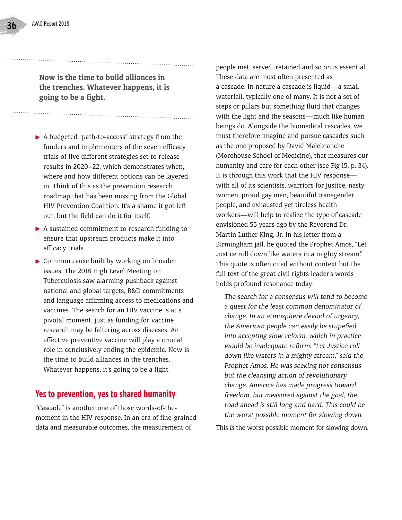**Now is the time to build alliances in the trenches. Whatever happens, it is going to be a fight.** 

- A budgeted "path-to-access" strategy from the funders and implementers of the seven efficacy trials of five diferent strategies set to release results in 2020–22, which demonstrates when, where and how diferent options can be layered in. Think of this as the prevention research roadmap that has been missing from the Global HIV Prevention Coalition. It's a shame it got left out, but the field can do it for itself.
- A sustained commitment to research funding to ensure that upstream products make it into efficacy trials.
- ▶ Common cause built by working on broader issues. The 2018 High Level Meeting on Tuberculosis saw alarming pushback against national and global targets, R&D commitments and language affirming access to medications and vaccines. The search for an HIV vaccine is at a pivotal moment, just as funding for vaccine research may be faltering across diseases. An efective preventive vaccine will play a crucial role in conclusively ending the epidemic. Now is the time to build alliances in the trenches. Whatever happens, it's going to be a fight.

#### **Yes to prevention, yes to shared humanity**

"Cascade" is another one of those words-of-themoment in the HIV response. In an era of fine-grained data and measurable outcomes, the measurement of

people met, served, retained and so on is essential. These data are most often presented as a cascade. In nature a cascade is liquid—a small waterfall, typically one of many. It is not a set of steps or pillars but something fluid that changes with the light and the seasons—much like human beings do. Alongside the biomedical cascades, we must therefore imagine and pursue cascades such as the one proposed by David Malebranche (Morehouse School of Medicine), that measures our humanity and care for each other (see Fig 15, p. 34). It is through this work that the HIV response with all of its scientists, warriors for justice, nasty women, proud gay men, beautiful transgender people, and exhausted yet tireless health workers—will help to realize the type of cascade envisioned 55 years ago by the Reverend Dr. Martin Luther King, Jr. In his letter from a Birmingham jail, he quoted the Prophet Amos, "Let Justice roll down like waters in a mighty stream." This quote is often cited without context but the full text of the great civil rights leader's words holds profound resonance today:

 *The search for a consensus will tend to become a quest for the least common denominator of change. In an atmosphere devoid of urgency, the American people can easily be stupefied into accepting slow reform, which in practice would be inadequate reform. "Let Justice roll down like waters in a mighty stream," said the Prophet Amos. He was seeking not consensus but the cleansing action of revolutionary change. America has made progress toward freedom, but measured against the goal, the road ahead is still long and hard. This could be the worst possible moment for slowing down.*

This *is* the worst possible moment for slowing down.